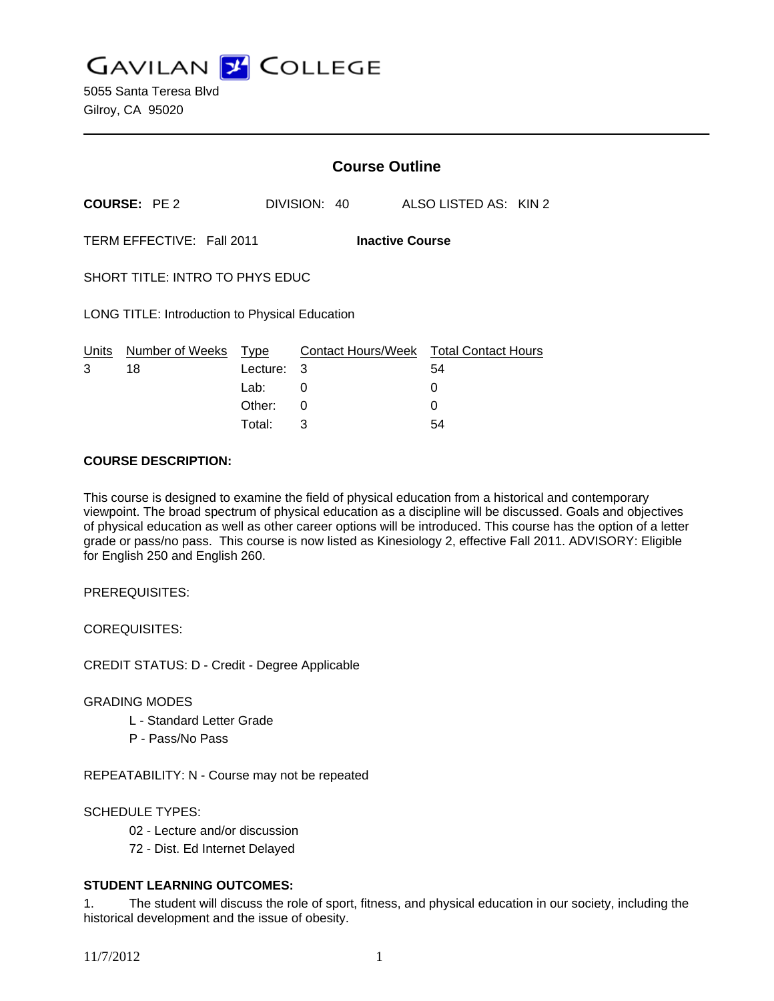**GAVILAN Z COLLEGE** 

|                                                     |                            | <b>Course Outline</b> |              |                                        |
|-----------------------------------------------------|----------------------------|-----------------------|--------------|----------------------------------------|
| <b>COURSE: PE 2</b>                                 |                            |                       | DIVISION: 40 | ALSO LISTED AS: KIN 2                  |
| TERM EFFECTIVE: Fall 2011<br><b>Inactive Course</b> |                            |                       |              |                                        |
| SHORT TITLE: INTRO TO PHYS EDUC                     |                            |                       |              |                                        |
| LONG TITLE: Introduction to Physical Education      |                            |                       |              |                                        |
|                                                     | Units Number of Weeks Type |                       |              | Contact Hours/Week Total Contact Hours |
| 3                                                   | 18                         | Lecture: 3            |              | 54                                     |
|                                                     |                            | Lab:                  | 0            | 0                                      |
|                                                     |                            | Other:                | 0            | 0                                      |
|                                                     |                            | Total:                | 3            | 54                                     |

## **COURSE DESCRIPTION:**

This course is designed to examine the field of physical education from a historical and contemporary viewpoint. The broad spectrum of physical education as a discipline will be discussed. Goals and objectives of physical education as well as other career options will be introduced. This course has the option of a letter grade or pass/no pass. This course is now listed as Kinesiology 2, effective Fall 2011. ADVISORY: Eligible for English 250 and English 260.

PREREQUISITES:

COREQUISITES:

CREDIT STATUS: D - Credit - Degree Applicable

# GRADING MODES

- L Standard Letter Grade
- P Pass/No Pass

REPEATABILITY: N - Course may not be repeated

# SCHEDULE TYPES:

- 02 Lecture and/or discussion
- 72 Dist. Ed Internet Delayed

# **STUDENT LEARNING OUTCOMES:**

1. The student will discuss the role of sport, fitness, and physical education in our society, including the historical development and the issue of obesity.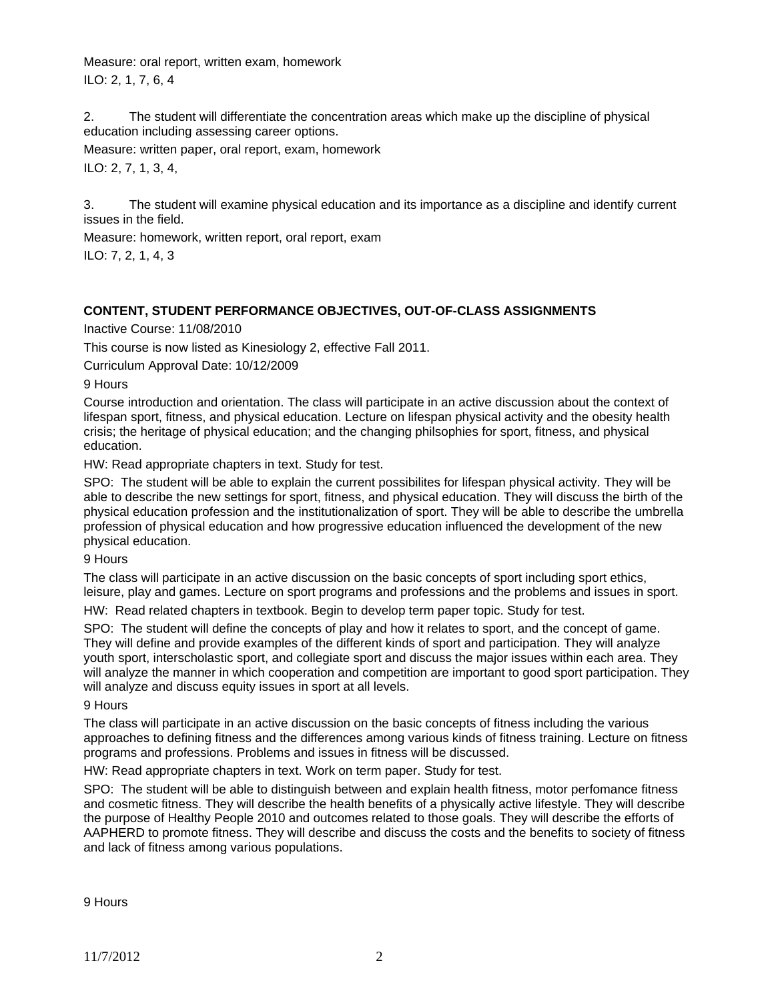Measure: oral report, written exam, homework ILO: 2, 1, 7, 6, 4

2. The student will differentiate the concentration areas which make up the discipline of physical education including assessing career options.

Measure: written paper, oral report, exam, homework ILO: 2, 7, 1, 3, 4,

3. The student will examine physical education and its importance as a discipline and identify current issues in the field.

Measure: homework, written report, oral report, exam

ILO: 7, 2, 1, 4, 3

# **CONTENT, STUDENT PERFORMANCE OBJECTIVES, OUT-OF-CLASS ASSIGNMENTS**

# Inactive Course: 11/08/2010

This course is now listed as Kinesiology 2, effective Fall 2011.

Curriculum Approval Date: 10/12/2009

9 Hours

Course introduction and orientation. The class will participate in an active discussion about the context of lifespan sport, fitness, and physical education. Lecture on lifespan physical activity and the obesity health crisis; the heritage of physical education; and the changing philsophies for sport, fitness, and physical education.

HW: Read appropriate chapters in text. Study for test.

SPO: The student will be able to explain the current possibilites for lifespan physical activity. They will be able to describe the new settings for sport, fitness, and physical education. They will discuss the birth of the physical education profession and the institutionalization of sport. They will be able to describe the umbrella profession of physical education and how progressive education influenced the development of the new physical education.

9 Hours

The class will participate in an active discussion on the basic concepts of sport including sport ethics, leisure, play and games. Lecture on sport programs and professions and the problems and issues in sport.

HW: Read related chapters in textbook. Begin to develop term paper topic. Study for test.

SPO: The student will define the concepts of play and how it relates to sport, and the concept of game. They will define and provide examples of the different kinds of sport and participation. They will analyze youth sport, interscholastic sport, and collegiate sport and discuss the major issues within each area. They will analyze the manner in which cooperation and competition are important to good sport participation. They will analyze and discuss equity issues in sport at all levels.

9 Hours

The class will participate in an active discussion on the basic concepts of fitness including the various approaches to defining fitness and the differences among various kinds of fitness training. Lecture on fitness programs and professions. Problems and issues in fitness will be discussed.

HW: Read appropriate chapters in text. Work on term paper. Study for test.

SPO: The student will be able to distinguish between and explain health fitness, motor perfomance fitness and cosmetic fitness. They will describe the health benefits of a physically active lifestyle. They will describe the purpose of Healthy People 2010 and outcomes related to those goals. They will describe the efforts of AAPHERD to promote fitness. They will describe and discuss the costs and the benefits to society of fitness and lack of fitness among various populations.

9 Hours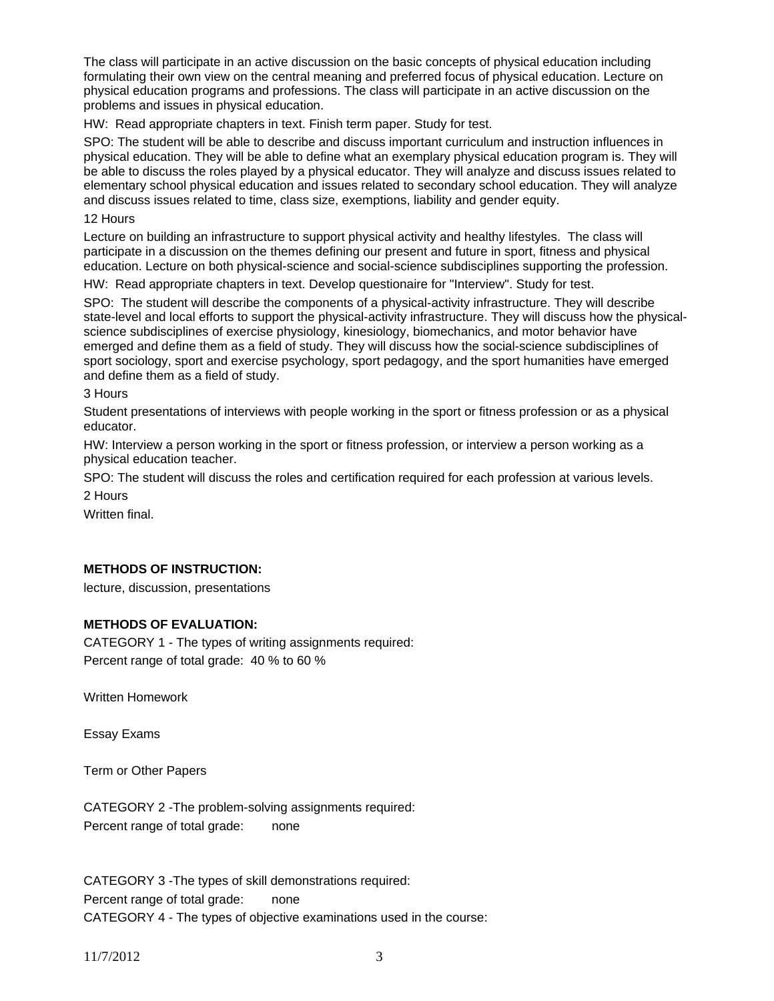The class will participate in an active discussion on the basic concepts of physical education including formulating their own view on the central meaning and preferred focus of physical education. Lecture on physical education programs and professions. The class will participate in an active discussion on the problems and issues in physical education.

HW: Read appropriate chapters in text. Finish term paper. Study for test.

SPO: The student will be able to describe and discuss important curriculum and instruction influences in physical education. They will be able to define what an exemplary physical education program is. They will be able to discuss the roles played by a physical educator. They will analyze and discuss issues related to elementary school physical education and issues related to secondary school education. They will analyze and discuss issues related to time, class size, exemptions, liability and gender equity.

12 Hours

Lecture on building an infrastructure to support physical activity and healthy lifestyles. The class will participate in a discussion on the themes defining our present and future in sport, fitness and physical education. Lecture on both physical-science and social-science subdisciplines supporting the profession.

HW: Read appropriate chapters in text. Develop questionaire for "Interview". Study for test.

SPO: The student will describe the components of a physical-activity infrastructure. They will describe state-level and local efforts to support the physical-activity infrastructure. They will discuss how the physicalscience subdisciplines of exercise physiology, kinesiology, biomechanics, and motor behavior have emerged and define them as a field of study. They will discuss how the social-science subdisciplines of sport sociology, sport and exercise psychology, sport pedagogy, and the sport humanities have emerged and define them as a field of study.

3 Hours

Student presentations of interviews with people working in the sport or fitness profession or as a physical educator.

HW: Interview a person working in the sport or fitness profession, or interview a person working as a physical education teacher.

SPO: The student will discuss the roles and certification required for each profession at various levels. 2 Hours

Written final.

#### **METHODS OF INSTRUCTION:**

lecture, discussion, presentations

#### **METHODS OF EVALUATION:**

CATEGORY 1 - The types of writing assignments required: Percent range of total grade: 40 % to 60 %

Written Homework

Essay Exams

Term or Other Papers

CATEGORY 2 -The problem-solving assignments required: Percent range of total grade: none

CATEGORY 3 -The types of skill demonstrations required: Percent range of total grade: none CATEGORY 4 - The types of objective examinations used in the course: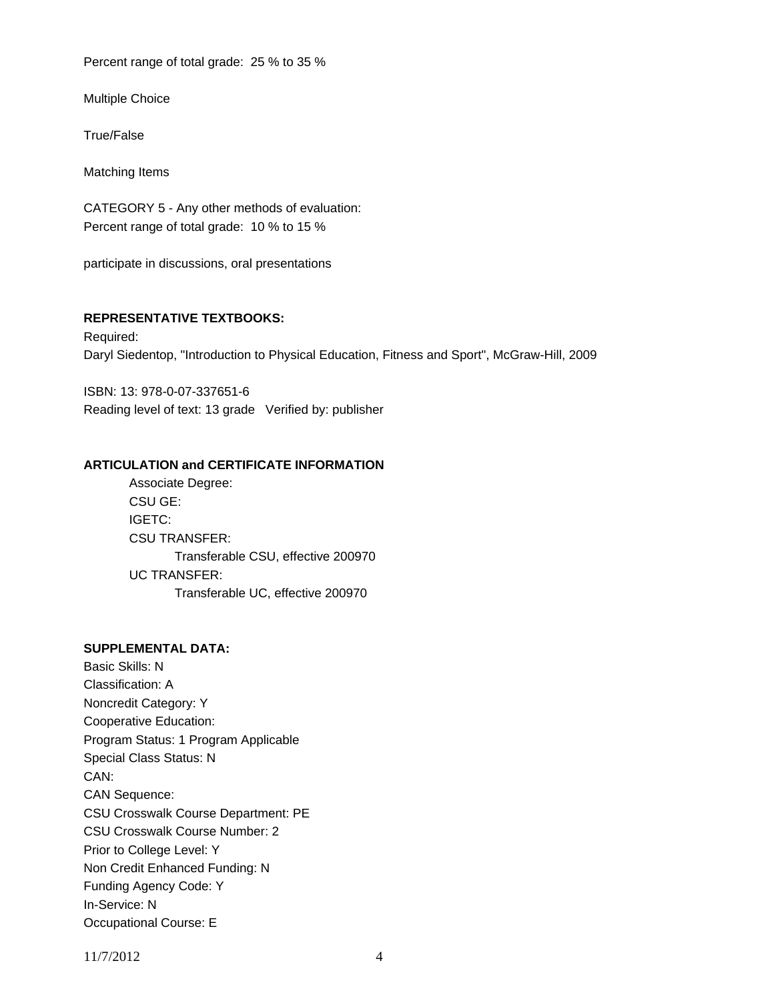Percent range of total grade: 25 % to 35 %

Multiple Choice

True/False

Matching Items

CATEGORY 5 - Any other methods of evaluation: Percent range of total grade: 10 % to 15 %

participate in discussions, oral presentations

## **REPRESENTATIVE TEXTBOOKS:**

Required: Daryl Siedentop, "Introduction to Physical Education, Fitness and Sport", McGraw-Hill, 2009

ISBN: 13: 978-0-07-337651-6 Reading level of text: 13 grade Verified by: publisher

## **ARTICULATION and CERTIFICATE INFORMATION**

 Associate Degree: CSU GE: IGETC: CSU TRANSFER: Transferable CSU, effective 200970 UC TRANSFER: Transferable UC, effective 200970

## **SUPPLEMENTAL DATA:**

Basic Skills: N Classification: A Noncredit Category: Y Cooperative Education: Program Status: 1 Program Applicable Special Class Status: N CAN: CAN Sequence: CSU Crosswalk Course Department: PE CSU Crosswalk Course Number: 2 Prior to College Level: Y Non Credit Enhanced Funding: N Funding Agency Code: Y In-Service: N Occupational Course: E

11/7/2012 4